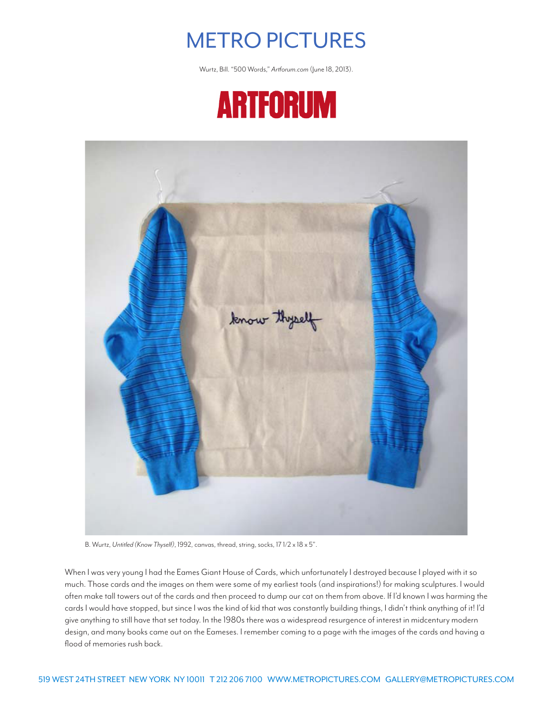

Wurtz, Bill. "500 Words," *Artforum.com* (June 18, 2013).





B. Wurtz, *Untitled (Know Thyself)*, 1992, canvas, thread, string, socks, 17 1/2 x 18 x 5".

When I was very young I had the Eames Giant House of Cards, which unfortunately I destroyed because I played with it so much. Those cards and the images on them were some of my earliest tools (and inspirations!) for making sculptures. I would often make tall towers out of the cards and then proceed to dump our cat on them from above. If I'd known I was harming the cards I would have stopped, but since I was the kind of kid that was constantly building things, I didn't think anything of it! I'd give anything to still have that set today. In the 1980s there was a widespread resurgence of interest in midcentury modern design, and many books came out on the Eameses. I remember coming to a page with the images of the cards and having a flood of memories rush back.